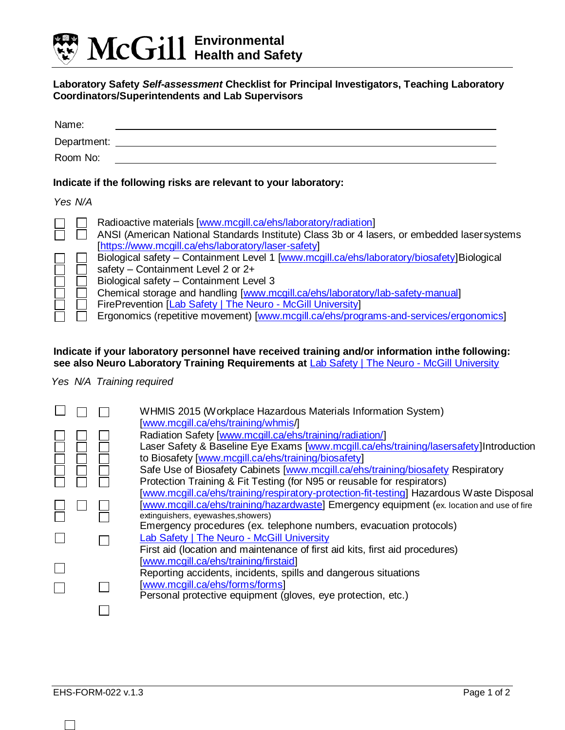

## **Laboratory Safety** *Self-assessment* **Checklist for Principal Investigators, Teaching Laboratory Coordinators/Superintendents and Lab Supervisors**

| Name:<br>Department:<br>Room No: |                                                                                                                                                                                                                                                                                                                                                                                                                                                                                                                                                                                                                                               |
|----------------------------------|-----------------------------------------------------------------------------------------------------------------------------------------------------------------------------------------------------------------------------------------------------------------------------------------------------------------------------------------------------------------------------------------------------------------------------------------------------------------------------------------------------------------------------------------------------------------------------------------------------------------------------------------------|
|                                  | Indicate if the following risks are relevant to your laboratory:                                                                                                                                                                                                                                                                                                                                                                                                                                                                                                                                                                              |
| Yes N/A                          |                                                                                                                                                                                                                                                                                                                                                                                                                                                                                                                                                                                                                                               |
|                                  | Radioactive materials [www.mcgill.ca/ehs/laboratory/radiation]<br>ANSI (American National Standards Institute) Class 3b or 4 lasers, or embedded lasersystems<br>[https://www.mcgill.ca/ehs/laboratory/laser-safety]<br>Biological safety – Containment Level 1 [www.mcgill.ca/ehs/laboratory/biosafety]Biological<br>safety - Containment Level 2 or 2+<br>Biological safety - Containment Level 3<br>Chemical storage and handling [www.mcgill.ca/ehs/laboratory/lab-safety-manual]<br>FirePrevention [Lab Safety   The Neuro - McGill University]<br>Ergonomics (repetitive movement) [www.mcgill.ca/ehs/programs-and-services/ergonomics] |

## **Indicate if your laboratory personnel have received training and/or information inthe following: see also Neuro Laboratory Training Requirements at** [Lab Safety | The Neuro -](https://www.mcgill.ca/neuro/research/lab-safety) McGill University

## *Yes N/A Training required*

|  | WHMIS 2015 (Workplace Hazardous Materials Information System)<br>[www.mcgill.ca/ehs/training/whmis/] |
|--|------------------------------------------------------------------------------------------------------|
|  | Radiation Safety [www.mcgill.ca/ehs/training/radiation/]                                             |
|  | Laser Safety & Baseline Eye Exams [www.mcgill.ca/ehs/training/lasersafety]Introduction               |
|  | to Biosafety [www.mcgill.ca/ehs/training/biosafety]                                                  |
|  | Safe Use of Biosafety Cabinets [www.mcgill.ca/ehs/training/biosafety Respiratory                     |
|  | Protection Training & Fit Testing (for N95 or reusable for respirators)                              |
|  | [www.mcgill.ca/ehs/training/respiratory-protection-fit-testing] Hazardous Waste Disposal             |
|  | [www.mcgill.ca/ehs/training/hazardwaste] Emergency equipment (ex. location and use of fire           |
|  | extinguishers, eyewashes, showers)                                                                   |
|  | Emergency procedures (ex. telephone numbers, evacuation protocols)                                   |
|  | Lab Safety   The Neuro - McGill University                                                           |
|  | First aid (location and maintenance of first aid kits, first aid procedures)                         |
|  | [www.mcgill.ca/ehs/training/firstaid]                                                                |
|  | Reporting accidents, incidents, spills and dangerous situations                                      |
|  | [www.mcgill.ca/ehs/forms/forms]                                                                      |
|  | Personal protective equipment (gloves, eye protection, etc.)                                         |
|  |                                                                                                      |

 $\Box$